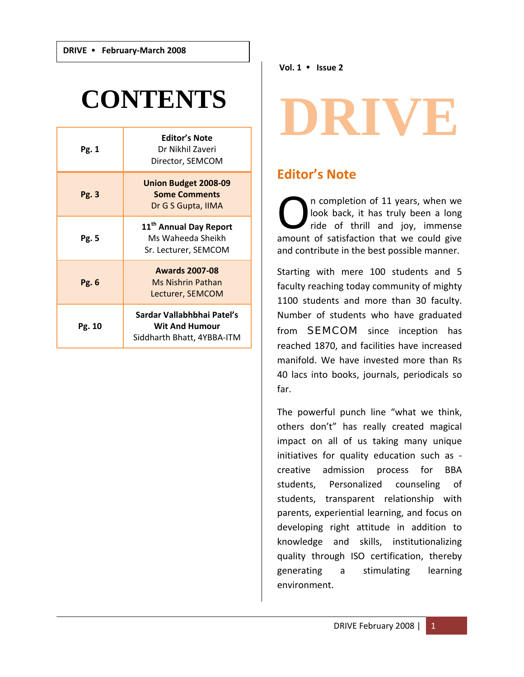## **CONTENTS**

| Pg. 1  | <b>Editor's Note</b><br>Dr Nikhil Zaveri<br>Director, SEMCOM                      |
|--------|-----------------------------------------------------------------------------------|
| Pg. 3  | <b>Union Budget 2008-09</b><br><b>Some Comments</b><br>Dr G S Gupta, IIMA         |
| Pg. 5  | 11 <sup>th</sup> Annual Day Report<br>Ms Waheeda Sheikh<br>Sr. Lecturer, SEMCOM   |
| Pg. 6  | <b>Awards 2007-08</b><br>Ms Nishrin Pathan<br>Lecturer, SEMCOM                    |
| Pg. 10 | Sardar Vallabhbhai Patel's<br><b>Wit And Humour</b><br>Siddharth Bhatt, 4YBBA-ITM |

**Vol. 1** y **Issue 2**

# **RIVE**

### **Editor's Note**

n completion of 11 years, when we look back, it has truly been a long ride of thrill and joy, immense The completion of 11 years, when we look back, it has truly been a long<br>ride of thrill and joy, immense<br>amount of satisfaction that we could give and contribute in the best possible manner.

Starting with mere 100 students and 5 faculty reaching today community of mighty 1100 students and more than 30 faculty. Number of students who have graduated from **SEMCOM** since inception has reached 1870, and facilities have increased manifold. We have invested more than Rs 40 lacs into books, journals, periodicals so far.

The powerful punch line "what we think, others don't" has really created magical impact on all of us taking many unique initiatives for quality education such as ‐ creative admission process for BBA students, Personalized counseling of students, transparent relationship with parents, experiential learning, and focus on developing right attitude in addition to knowledge and skills, institutionalizing quality through ISO certification, thereby generating a stimulating learning environment.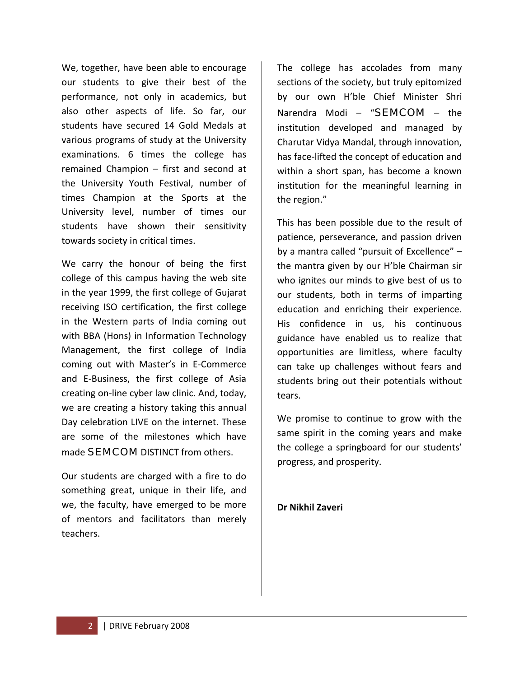We, together, have been able to encourage our students to give their best of the performance, not only in academics, but also other aspects of life. So far, our students have secured 14 Gold Medals at various programs of study at the University examinations. 6 times the college has remained Champion – first and second at the University Youth Festival, number of times Champion at the Sports at the University level, number of times our students have shown their sensitivity towards society in critical times.

We carry the honour of being the first college of this campus having the web site in the year 1999, the first college of Gujarat receiving ISO certification, the first college in the Western parts of India coming out with BBA (Hons) in Information Technology Management, the first college of India coming out with Master's in E‐Commerce and E‐Business, the first college of Asia creating on‐line cyber law clinic. And, today, we are creating a history taking this annual Day celebration LIVE on the internet. These are some of the milestones which have made **SEMCOM** DISTINCT from others.

Our students are charged with a fire to do something great, unique in their life, and we, the faculty, have emerged to be more of mentors and facilitators than merely teachers.

The college has accolades from many sections of the society, but truly epitomized by our own H'ble Chief Minister Shri Narendra Modi – "SEMCOM – the institution developed and managed by Charutar Vidya Mandal, through innovation, has face‐lifted the concept of education and within a short span, has become a known institution for the meaningful learning in the region."

This has been possible due to the result of patience, perseverance, and passion driven by a mantra called "pursuit of Excellence" – the mantra given by our H'ble Chairman sir who ignites our minds to give best of us to our students, both in terms of imparting education and enriching their experience. His confidence in us, his continuous guidance have enabled us to realize that opportunities are limitless, where faculty can take up challenges without fears and students bring out their potentials without tears.

We promise to continue to grow with the same spirit in the coming years and make the college a springboard for our students' progress, and prosperity.

**Dr Nikhil Zaveri**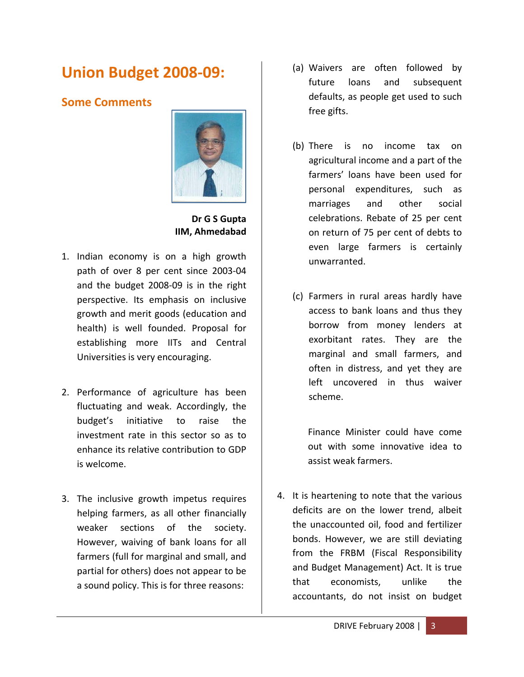## **Union Budget 2008‐09:**

#### **Some Comments**



**Dr G S Gupta IIM, Ahmedabad**

- 1. Indian economy is on a high growth path of over 8 per cent since 2003‐04 and the budget 2008‐09 is in the right perspective. Its emphasis on inclusive growth and merit goods (education and health) is well founded. Proposal for establishing more IITs and Central Universities is very encouraging.
- 2. Performance of agriculture has been fluctuating and weak. Accordingly, the budget's initiative to raise the investment rate in this sector so as to enhance its relative contribution to GDP is welcome.
- 3. The inclusive growth impetus requires helping farmers, as all other financially weaker sections of the society. However, waiving of bank loans for all farmers (full for marginal and small, and partial for others) does not appear to be a sound policy. This is for three reasons:
- (a) Waivers are often followed by future loans and subsequent defaults, as people get used to such free gifts.
- (b) There is no income tax on agricultural income and a part of the farmers' loans have been used for personal expenditures, such as marriages and other social celebrations. Rebate of 25 per cent on return of 75 per cent of debts to even large farmers is certainly unwarranted.
- (c) Farmers in rural areas hardly have access to bank loans and thus they borrow from money lenders at exorbitant rates. They are the marginal and small farmers, and often in distress, and yet they are left uncovered in thus waiver scheme.

Finance Minister could have come out with some innovative idea to assist weak farmers.

4. It is heartening to note that the various deficits are on the lower trend, albeit the unaccounted oil, food and fertilizer bonds. However, we are still deviating from the FRBM (Fiscal Responsibility and Budget Management) Act. It is true that economists, unlike the accountants, do not insist on budget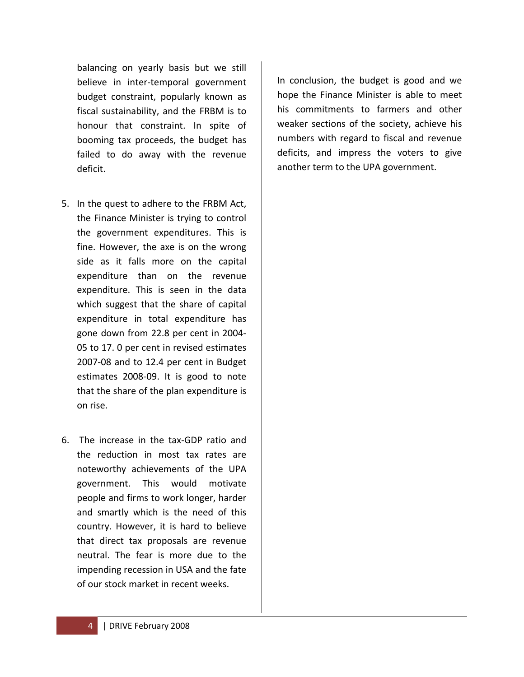balancing on yearly basis but we still believe in inter‐temporal government budget constraint, popularly known as fiscal sustainability, and the FRBM is to honour that constraint. In spite of booming tax proceeds, the budget has failed to do away with the revenue deficit.

- 5. In the quest to adhere to the FRBM Act, the Finance Minister is trying to control the government expenditures. This is fine. However, the axe is on the wrong side as it falls more on the capital expenditure than on the revenue expenditure. This is seen in the data which suggest that the share of capital expenditure in total expenditure has gone down from 22.8 per cent in 2004‐ 05 to 17. 0 per cent in revised estimates 2007‐08 and to 12.4 per cent in Budget estimates 2008‐09. It is good to note that the share of the plan expenditure is on rise.
- 6. The increase in the tax‐GDP ratio and the reduction in most tax rates are noteworthy achievements of the UPA government. This would motivate people and firms to work longer, harder and smartly which is the need of this country. However, it is hard to believe that direct tax proposals are revenue neutral. The fear is more due to the impending recession in USA and the fate of our stock market in recent weeks.

In conclusion, the budget is good and we hope the Finance Minister is able to meet his commitments to farmers and other weaker sections of the society, achieve his numbers with regard to fiscal and revenue deficits, and impress the voters to give another term to the UPA government.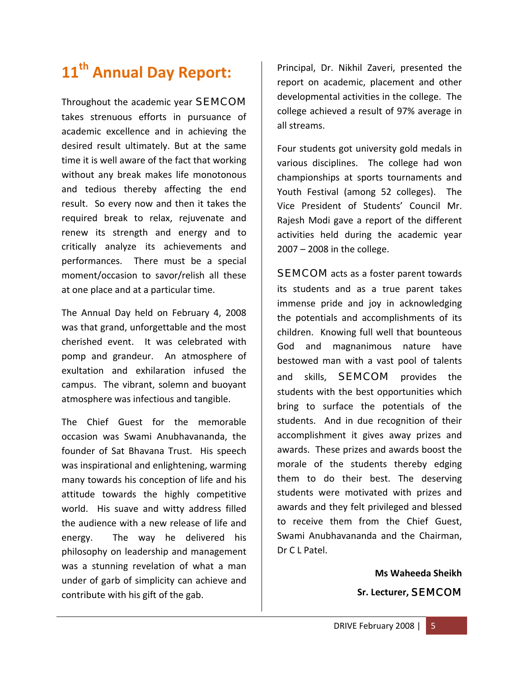## **11th Annual Day Report:**

Throughout the academic year SEMCOM takes strenuous efforts in pursuance of academic excellence and in achieving the desired result ultimately. But at the same time it is well aware of the fact that working without any break makes life monotonous and tedious thereby affecting the end result. So every now and then it takes the required break to relax, rejuvenate and renew its strength and energy and to critically analyze its achievements and performances. There must be a special moment/occasion to savor/relish all these at one place and at a particular time.

The Annual Day held on February 4, 2008 was that grand, unforgettable and the most cherished event. It was celebrated with pomp and grandeur. An atmosphere of exultation and exhilaration infused the campus. The vibrant, solemn and buoyant atmosphere was infectious and tangible.

The Chief Guest for the memorable occasion was Swami Anubhavananda, the founder of Sat Bhavana Trust. His speech was inspirational and enlightening, warming many towards his conception of life and his attitude towards the highly competitive world. His suave and witty address filled the audience with a new release of life and energy. The way he delivered his philosophy on leadership and management was a stunning revelation of what a man under of garb of simplicity can achieve and contribute with his gift of the gab.

Principal, Dr. Nikhil Zaveri, presented the report on academic, placement and other developmental activities in the college. The college achieved a result of 97% average in all streams.

Four students got university gold medals in various disciplines. The college had won championships at sports tournaments and Youth Festival (among 52 colleges). The Vice President of Students' Council Mr. Rajesh Modi gave a report of the different activities held during the academic year 2007 – 2008 in the college.

**SEMCOM** acts as a foster parent towards its students and as a true parent takes immense pride and joy in acknowledging the potentials and accomplishments of its children. Knowing full well that bounteous God and magnanimous nature have bestowed man with a vast pool of talents and skills, **SEMCOM** provides the students with the best opportunities which bring to surface the potentials of the students. And in due recognition of their accomplishment it gives away prizes and awards. These prizes and awards boost the morale of the students thereby edging them to do their best. The deserving students were motivated with prizes and awards and they felt privileged and blessed to receive them from the Chief Guest, Swami Anubhavananda and the Chairman, Dr C L Patel.

> **Ms Waheeda Sheikh Sr. Lecturer,** SEMCOM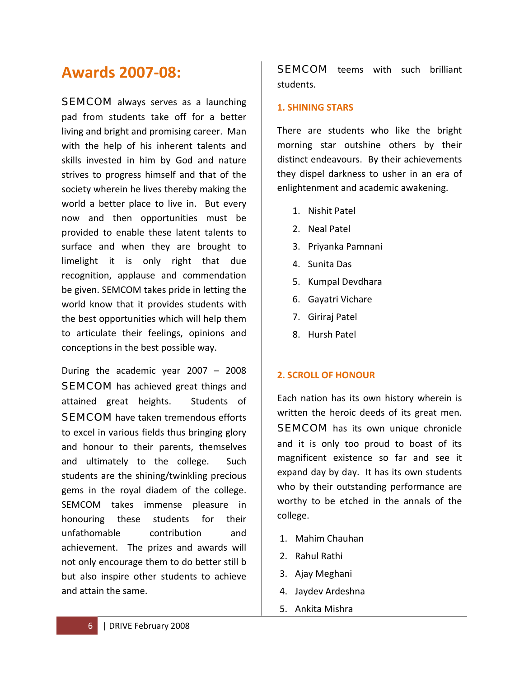## **Awards 2007‐08:**

**SEMCOM** always serves as a launching pad from students take off for a better living and bright and promising career. Man with the help of his inherent talents and skills invested in him by God and nature strives to progress himself and that of the society wherein he lives thereby making the world a better place to live in. But every now and then opportunities must be provided to enable these latent talents to surface and when they are brought to limelight it is only right that due recognition, applause and commendation be given. SEMCOM takes pride in letting the world know that it provides students with the best opportunities which will help them to articulate their feelings, opinions and conceptions in the best possible way.

During the academic year 2007 – 2008 **SEMCOM** has achieved great things and attained great heights. Students of **SEMCOM** have taken tremendous efforts to excel in various fields thus bringing glory and honour to their parents, themselves and ultimately to the college. Such students are the shining/twinkling precious gems in the royal diadem of the college. SEMCOM takes immense pleasure in honouring these students for their unfathomable contribution and achievement. The prizes and awards will not only encourage them to do better still b but also inspire other students to achieve and attain the same.

**SEMCOM** teems with such brilliant students.

#### **1. SHINING STARS**

There are students who like the bright morning star outshine others by their distinct endeavours. By their achievements they dispel darkness to usher in an era of enlightenment and academic awakening.

- 1. Nishit Patel
- 2. Neal Patel
- 3. Priyanka Pamnani
- 4. Sunita Das
- 5. Kumpal Devdhara
- 6. Gayatri Vichare
- 7. Giriraj Patel
- 8. Hursh Patel

#### **2. SCROLL OF HONOUR**

Each nation has its own history wherein is written the heroic deeds of its great men. **SEMCOM** has its own unique chronicle and it is only too proud to boast of its magnificent existence so far and see it expand day by day. It has its own students who by their outstanding performance are worthy to be etched in the annals of the college.

- 1. Mahim Chauhan
- 2. Rahul Rathi
- 3. Ajay Meghani
- 4. Jaydev Ardeshna
- 5. Ankita Mishra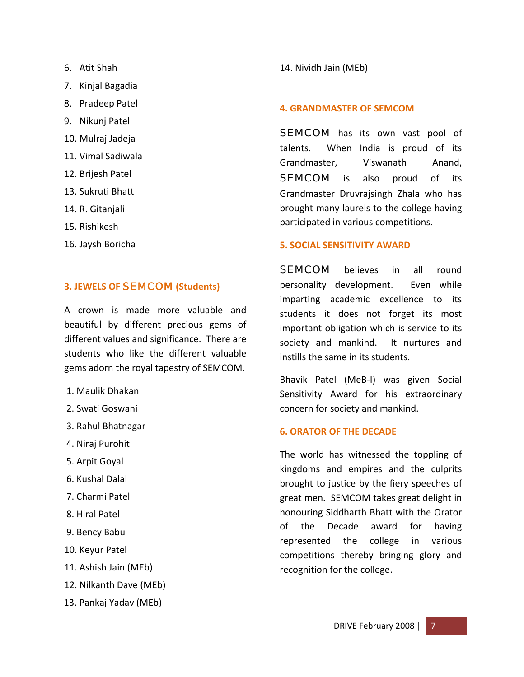- 6. Atit Shah
- 7. Kinjal Bagadia
- 8. Pradeep Patel
- 9. Nikunj Patel
- 10. Mulraj Jadeja
- 11. Vimal Sadiwala
- 12. Brijesh Patel
- 13. Sukruti Bhatt
- 14. R. Gitanjali
- 15. Rishikesh
- 16. Jaysh Boricha

#### **3. JEWELS OF** SEMCOM **(Students)**

A crown is made more valuable and beautiful by different precious gems of different values and significance. There are students who like the different valuable gems adorn the royal tapestry of SEMCOM.

- 1. Maulik Dhakan
- 2. Swati Goswani
- 3. Rahul Bhatnagar
- 4. Niraj Purohit
- 5. Arpit Goyal
- 6. Kushal Dalal
- 7. Charmi Patel
- 8. Hiral Patel
- 9. Bency Babu
- 10. Keyur Patel
- 11. Ashish Jain (MEb)
- 12. Nilkanth Dave (MEb)
- 13. Pankaj Yadav (MEb)

#### 14. Nividh Jain (MEb)

#### **4. GRANDMASTER OF SEMCOM**

**SEMCOM** has its own vast pool of talents. When India is proud of its Grandmaster, Viswanath Anand, **SEMCOM** is also proud of its Grandmaster Druvrajsingh Zhala who has brought many laurels to the college having participated in various competitions.

#### **5. SOCIAL SENSITIVITY AWARD**

SEMCOM believes in all round personality development. Even while imparting academic excellence to its students it does not forget its most important obligation which is service to its society and mankind. It nurtures and instills the same in its students.

Bhavik Patel (MeB‐I) was given Social Sensitivity Award for his extraordinary concern for society and mankind.

#### **6. ORATOR OF THE DECADE**

The world has witnessed the toppling of kingdoms and empires and the culprits brought to justice by the fiery speeches of great men. SEMCOM takes great delight in honouring Siddharth Bhatt with the Orator of the Decade award for having represented the college in various competitions thereby bringing glory and recognition for the college.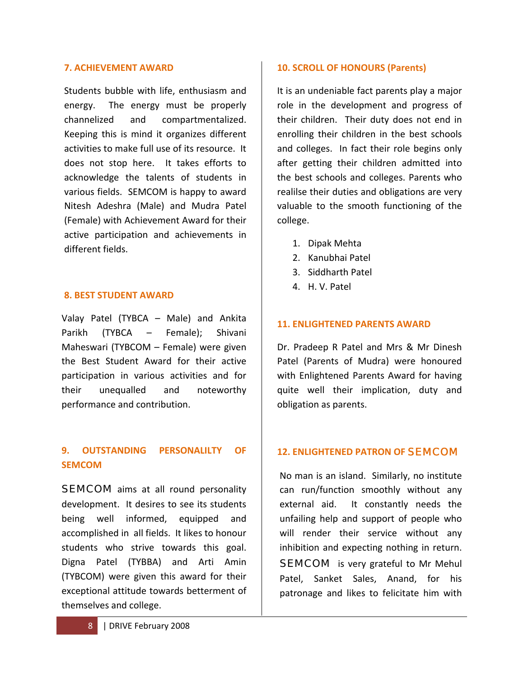#### **7. ACHIEVEMENT AWARD**

Students bubble with life, enthusiasm and energy. The energy must be properly channelized and compartmentalized. Keeping this is mind it organizes different activities to make full use of its resource. It does not stop here. It takes efforts to acknowledge the talents of students in various fields. SEMCOM is happy to award Nitesh Adeshra (Male) and Mudra Patel (Female) with Achievement Award for their active participation and achievements in different fields.

#### **8. BEST STUDENT AWARD**

Valay Patel (TYBCA – Male) and Ankita Parikh (TYBCA – Female); Shivani Maheswari (TYBCOM – Female) were given the Best Student Award for their active participation in various activities and for their unequalled and noteworthy performance and contribution.

#### **9. OUTSTANDING PERSONALILTY OF SEMCOM**

SEMCOM aims at all round personality development. It desires to see its students being well informed, equipped and accomplished in all fields. It likes to honour students who strive towards this goal. Digna Patel (TYBBA) and Arti Amin (TYBCOM) were given this award for their exceptional attitude towards betterment of themselves and college.

#### **10. SCROLL OF HONOURS (Parents)**

It is an undeniable fact parents play a major role in the development and progress of their children. Their duty does not end in enrolling their children in the best schools and colleges. In fact their role begins only after getting their children admitted into the best schools and colleges. Parents who realilse their duties and obligations are very valuable to the smooth functioning of the college.

- 1. Dipak Mehta
- 2. Kanubhai Patel
- 3. Siddharth Patel
- 4. H. V. Patel

#### **11. ENLIGHTENED PARENTS AWARD**

Dr. Pradeep R Patel and Mrs & Mr Dinesh Patel (Parents of Mudra) were honoured with Enlightened Parents Award for having quite well their implication, duty and obligation as parents.

#### **12. ENLIGHTENED PATRON OF** SEMCOM

No man is an island. Similarly, no institute can run/function smoothly without any external aid. It constantly needs the unfailing help and support of people who will render their service without any inhibition and expecting nothing in return. **SEMCOM** is very grateful to Mr Mehul Patel, Sanket Sales, Anand, for his patronage and likes to felicitate him with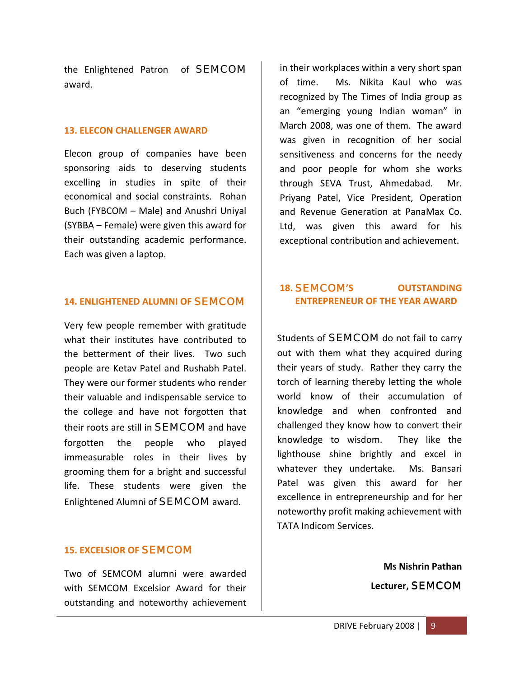the Enlightened Patron of **SEMCOM** award.

#### **13. ELECON CHALLENGER AWARD**

Elecon group of companies have been sponsoring aids to deserving students excelling in studies in spite of their economical and social constraints. Rohan Buch (FYBCOM – Male) and Anushri Uniyal (SYBBA – Female) were given this award for their outstanding academic performance. Each was given a laptop.

#### **14. ENLIGHTENED ALUMNI OF** SEMCOM

Very few people remember with gratitude what their institutes have contributed to the betterment of their lives. Two such people are Ketav Patel and Rushabh Patel. They were our former students who render their valuable and indispensable service to the college and have not forgotten that their roots are still in **SEMCOM** and have forgotten the people who played immeasurable roles in their lives by grooming them for a bright and successful life. These students were given the Enlightened Alumni of SEMCOM award.

#### **15. EXCELSIOR OF** SEMCOM

Two of SEMCOM alumni were awarded with SEMCOM Excelsior Award for their outstanding and noteworthy achievement in their workplaces within a very short span of time. Ms. Nikita Kaul who was recognized by The Times of India group as an "emerging young Indian woman" in March 2008, was one of them. The award was given in recognition of her social sensitiveness and concerns for the needy and poor people for whom she works through SEVA Trust, Ahmedabad. Mr. Priyang Patel, Vice President, Operation and Revenue Generation at PanaMax Co. Ltd, was given this award for his exceptional contribution and achievement.

#### **18.** SEMCOM**'S OUTSTANDING ENTREPRENEUR OF THE YEAR AWARD**

Students of **SEMCOM** do not fail to carry out with them what they acquired during their years of study. Rather they carry the torch of learning thereby letting the whole world know of their accumulation of knowledge and when confronted and challenged they know how to convert their knowledge to wisdom. They like the lighthouse shine brightly and excel in whatever they undertake. Ms. Bansari Patel was given this award for her excellence in entrepreneurship and for her noteworthy profit making achievement with TATA Indicom Services.

> **Ms Nishrin Pathan Lecturer,** SEMCOM